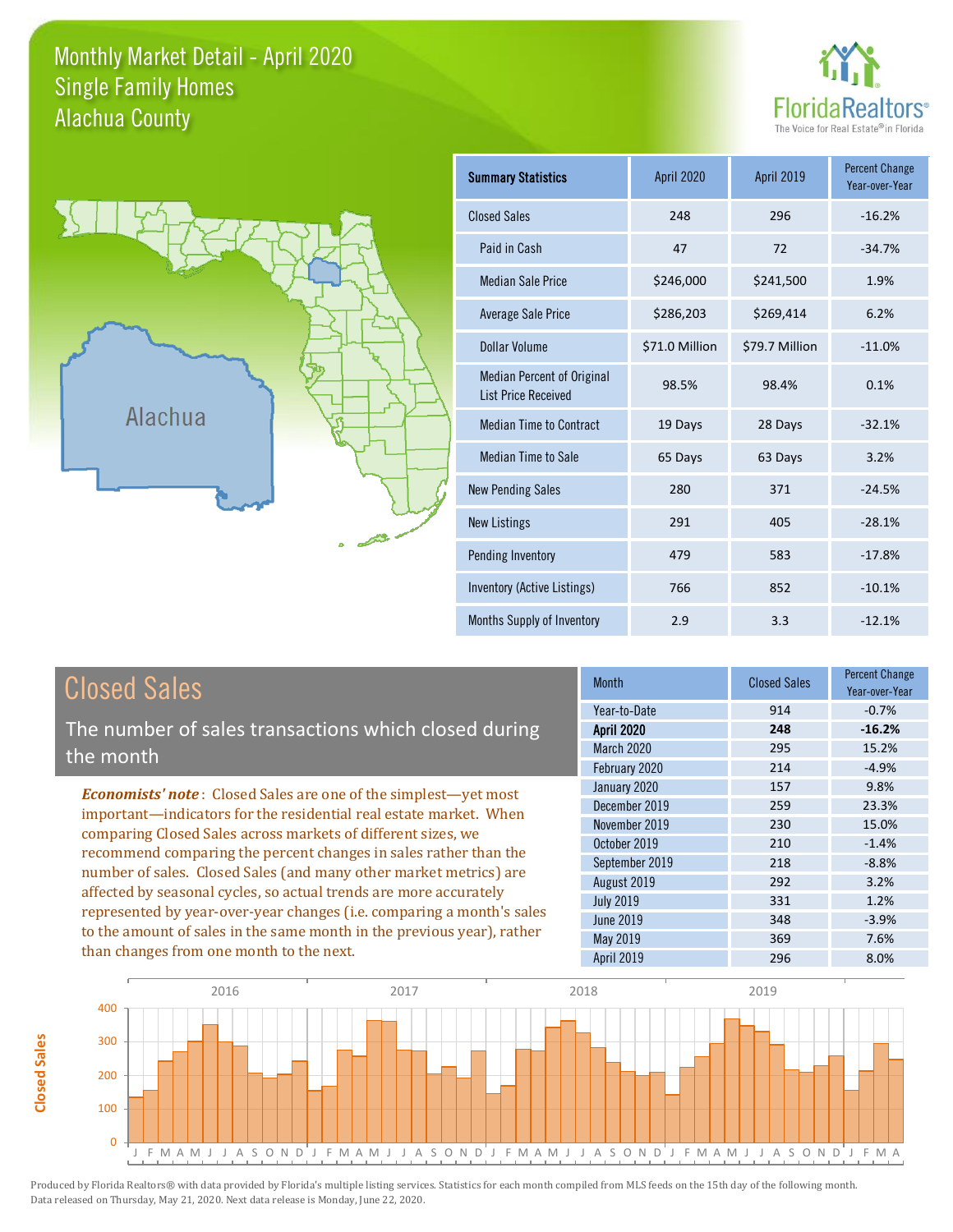## Monthly Market Detail - April 2020 Alachua County Single Family Homes





**Closed Sales**

**Closed Sales** 

| <b>Summary Statistics</b>                                       | <b>April 2020</b> | April 2019     | <b>Percent Change</b><br>Year-over-Year |
|-----------------------------------------------------------------|-------------------|----------------|-----------------------------------------|
| <b>Closed Sales</b>                                             | 248               | 296            | $-16.2%$                                |
| Paid in Cash                                                    | 47                | 72             | $-34.7%$                                |
| <b>Median Sale Price</b>                                        | \$246,000         | \$241,500      | 1.9%                                    |
| Average Sale Price                                              | \$286,203         | \$269,414      | 6.2%                                    |
| Dollar Volume                                                   | \$71.0 Million    | \$79.7 Million | $-11.0%$                                |
| <b>Median Percent of Original</b><br><b>List Price Received</b> | 98.5%             | 98.4%          | 0.1%                                    |
| <b>Median Time to Contract</b>                                  | 19 Days           | 28 Days        | $-32.1%$                                |
| <b>Median Time to Sale</b>                                      | 65 Days           | 63 Days        | 3.2%                                    |
| <b>New Pending Sales</b>                                        | 280               | 371            | $-24.5%$                                |
| <b>New Listings</b>                                             | 291               | 405            | $-28.1%$                                |
| Pending Inventory                                               | 479               | 583            | $-17.8%$                                |
| Inventory (Active Listings)                                     | 766               | 852            | $-10.1%$                                |
| Months Supply of Inventory                                      | 2.9               | 3.3            | $-12.1%$                                |

| <b>Closed Sales</b>                                                                                                                                                                                                                                                                                                                                                                                                                                                                                                                                                                                                      | <b>Month</b>                                                                                                                                                      | <b>Closed Sales</b>                                                | <b>Percent Change</b><br>Year-over-Year                                                 |
|--------------------------------------------------------------------------------------------------------------------------------------------------------------------------------------------------------------------------------------------------------------------------------------------------------------------------------------------------------------------------------------------------------------------------------------------------------------------------------------------------------------------------------------------------------------------------------------------------------------------------|-------------------------------------------------------------------------------------------------------------------------------------------------------------------|--------------------------------------------------------------------|-----------------------------------------------------------------------------------------|
| The number of sales transactions which closed during<br>the month                                                                                                                                                                                                                                                                                                                                                                                                                                                                                                                                                        | Year-to-Date<br><b>April 2020</b><br>March 2020<br>February 2020                                                                                                  | 914<br>248<br>295<br>214                                           | $-0.7%$<br>$-16.2%$<br>15.2%<br>$-4.9%$                                                 |
| <b>Economists' note:</b> Closed Sales are one of the simplest—yet most<br>important—indicators for the residential real estate market. When<br>comparing Closed Sales across markets of different sizes, we<br>recommend comparing the percent changes in sales rather than the<br>number of sales. Closed Sales (and many other market metrics) are<br>affected by seasonal cycles, so actual trends are more accurately<br>represented by year-over-year changes (i.e. comparing a month's sales<br>to the amount of sales in the same month in the previous year), rather<br>than changes from one month to the next. | January 2020<br>December 2019<br>November 2019<br>October 2019<br>September 2019<br>August 2019<br><b>July 2019</b><br>June 2019<br>May 2019<br><b>April 2019</b> | 157<br>259<br>230<br>210<br>218<br>292<br>331<br>348<br>369<br>296 | 9.8%<br>23.3%<br>15.0%<br>$-1.4%$<br>$-8.8%$<br>3.2%<br>1.2%<br>$-3.9%$<br>7.6%<br>8.0% |

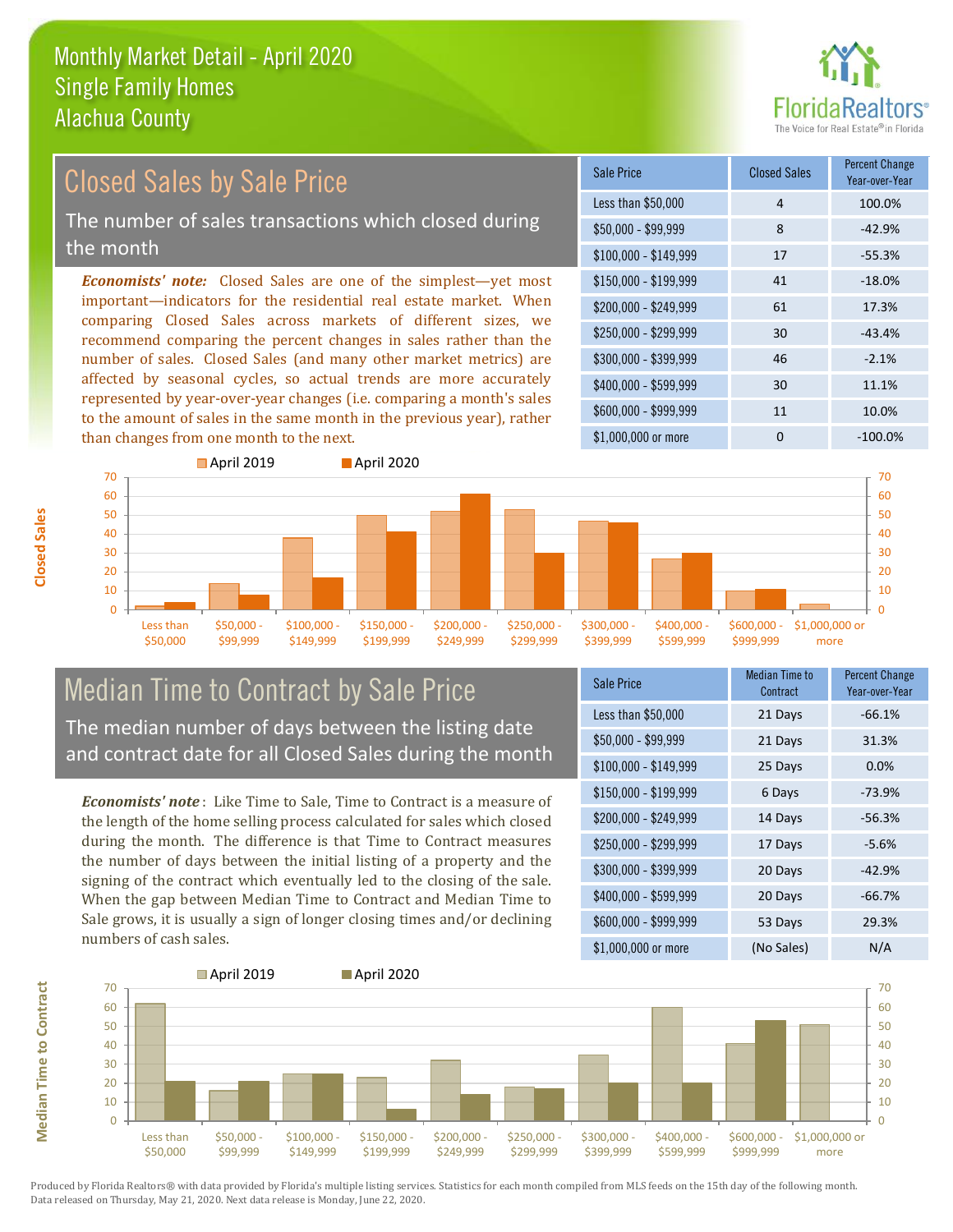

# Closed Sales by Sale Price

The number of sales transactions which closed during the month

*Economists' note:* Closed Sales are one of the simplest—yet most important—indicators for the residential real estate market. When comparing Closed Sales across markets of different sizes, we recommend comparing the percent changes in sales rather than the number of sales. Closed Sales (and many other market metrics) are affected by seasonal cycles, so actual trends are more accurately represented by year-over-year changes (i.e. comparing a month's sales to the amount of sales in the same month in the previous year), rather than changes from one month to the next.

| Sale Price            | <b>Closed Sales</b> | <b>Percent Change</b><br>Year-over-Year |
|-----------------------|---------------------|-----------------------------------------|
| Less than \$50,000    | 4                   | 100.0%                                  |
| $$50,000 - $99,999$   | 8                   | $-42.9%$                                |
| $$100,000 - $149,999$ | 17                  | $-55.3%$                                |
| $$150,000 - $199,999$ | 41                  | $-18.0%$                                |
| \$200,000 - \$249,999 | 61                  | 17.3%                                   |
| \$250,000 - \$299,999 | 30                  | $-43.4%$                                |
| \$300,000 - \$399,999 | 46                  | $-2.1%$                                 |
| \$400,000 - \$599,999 | 30                  | 11.1%                                   |
| \$600,000 - \$999,999 | 11                  | 10.0%                                   |
| \$1,000,000 or more   | ი                   | $-100.0\%$                              |



# Median Time to Contract by Sale Price The median number of days between the listing date

and contract date for all Closed Sales during the month

*Economists' note* : Like Time to Sale, Time to Contract is a measure of the length of the home selling process calculated for sales which closed during the month. The difference is that Time to Contract measures the number of days between the initial listing of a property and the signing of the contract which eventually led to the closing of the sale. When the gap between Median Time to Contract and Median Time to Sale grows, it is usually a sign of longer closing times and/or declining numbers of cash sales.

| <b>Sale Price</b>     | Median Time to<br>Contract | <b>Percent Change</b><br>Year-over-Year |
|-----------------------|----------------------------|-----------------------------------------|
| Less than \$50,000    | 21 Days                    | $-66.1%$                                |
| $$50,000 - $99,999$   | 21 Days                    | 31.3%                                   |
| $$100,000 - $149,999$ | 25 Days                    | 0.0%                                    |
| $$150,000 - $199,999$ | 6 Days                     | $-73.9%$                                |
| \$200,000 - \$249,999 | 14 Days                    | $-56.3%$                                |
| \$250,000 - \$299,999 | 17 Days                    | $-5.6%$                                 |
| \$300,000 - \$399,999 | 20 Days                    | $-42.9%$                                |
| \$400,000 - \$599,999 | 20 Days                    | $-66.7%$                                |
| \$600,000 - \$999,999 | 53 Days                    | 29.3%                                   |
| \$1,000,000 or more   | (No Sales)                 | N/A                                     |



Produced by Florida Realtors® with data provided by Florida's multiple listing services. Statistics for each month compiled from MLS feeds on the 15th day of the following month. Data released on Thursday, May 21, 2020. Next data release is Monday, June 22, 2020.

**Median Time to Contract**

**Median Time to Contract**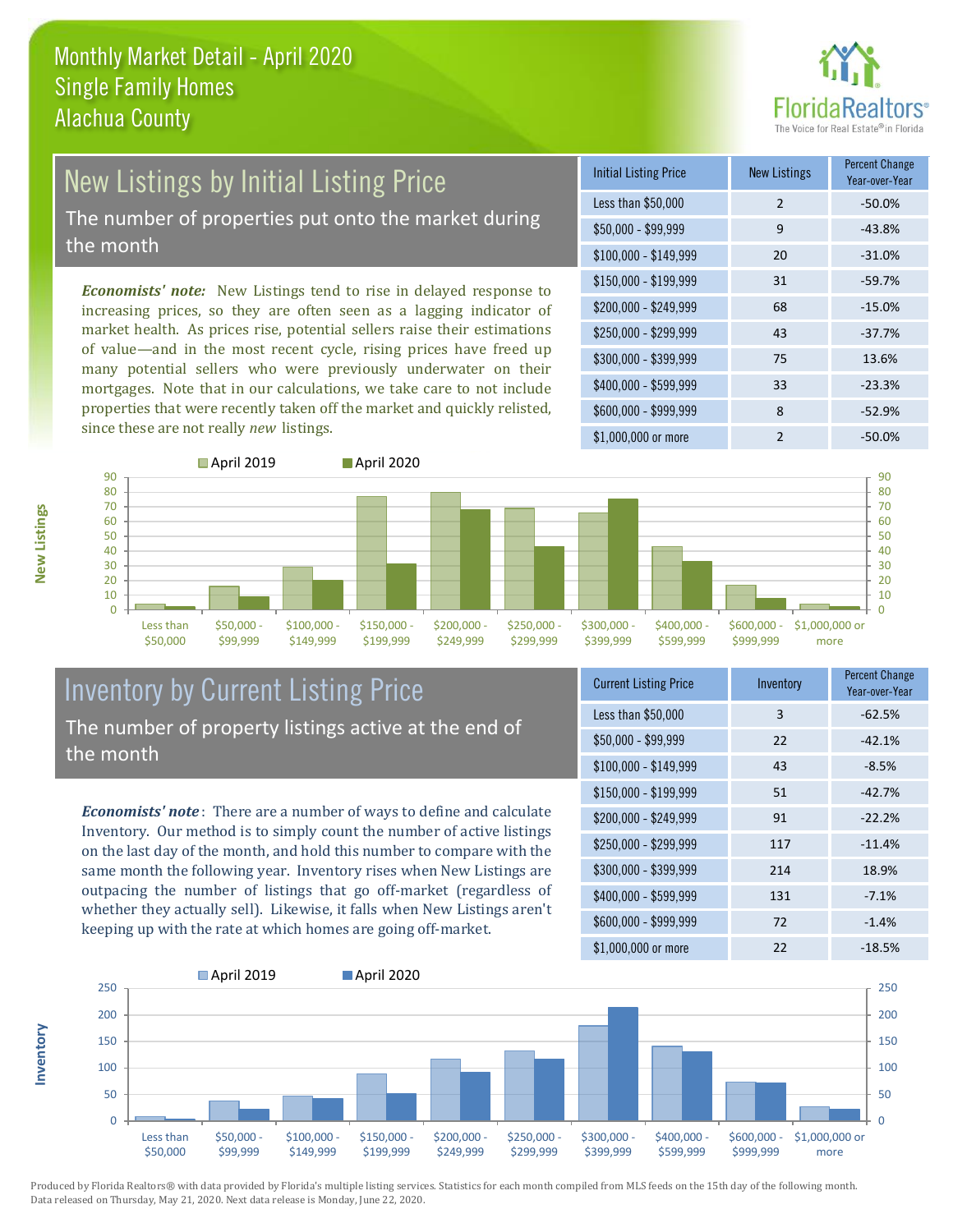

# New Listings by Initial Listing Price

The number of properties put onto the market during the month

*Economists' note:* New Listings tend to rise in delayed response to increasing prices, so they are often seen as a lagging indicator of market health. As prices rise, potential sellers raise their estimations of value—and in the most recent cycle, rising prices have freed up many potential sellers who were previously underwater on their mortgages. Note that in our calculations, we take care to not include properties that were recently taken off the market and quickly relisted, since these are not really *new* listings.

| <b>Initial Listing Price</b> | <b>New Listings</b> | <b>Percent Change</b><br>Year-over-Year |
|------------------------------|---------------------|-----------------------------------------|
| Less than \$50,000           | $\overline{2}$      | $-50.0%$                                |
| $$50,000 - $99,999$          | 9                   | $-43.8%$                                |
| $$100,000 - $149,999$        | 20                  | $-31.0%$                                |
| $$150,000 - $199,999$        | 31                  | $-59.7%$                                |
| \$200,000 - \$249,999        | 68                  | $-15.0%$                                |
| \$250,000 - \$299,999        | 43                  | $-37.7%$                                |
| \$300,000 - \$399,999        | 75                  | 13.6%                                   |
| \$400,000 - \$599,999        | 33                  | $-23.3%$                                |
| \$600,000 - \$999,999        | 8                   | $-52.9%$                                |
| \$1,000,000 or more          | $\mathfrak{p}$      | $-50.0\%$                               |



## Inventory by Current Listing Price The number of property listings active at the end of the month

*Economists' note* : There are a number of ways to define and calculate Inventory. Our method is to simply count the number of active listings on the last day of the month, and hold this number to compare with the same month the following year. Inventory rises when New Listings are outpacing the number of listings that go off-market (regardless of whether they actually sell). Likewise, it falls when New Listings aren't keeping up with the rate at which homes are going off-market.

| <b>Current Listing Price</b> | Inventory | Percent Change<br>Year-over-Year |
|------------------------------|-----------|----------------------------------|
| Less than \$50,000           | 3         | $-62.5%$                         |
| $$50,000 - $99,999$          | 22        | $-42.1%$                         |
| $$100,000 - $149,999$        | 43        | $-8.5%$                          |
| $$150,000 - $199,999$        | 51        | $-42.7%$                         |
| \$200,000 - \$249,999        | 91        | $-22.2%$                         |
| \$250,000 - \$299,999        | 117       | $-11.4%$                         |
| \$300,000 - \$399,999        | 214       | 18.9%                            |
| \$400,000 - \$599,999        | 131       | $-7.1%$                          |
| \$600,000 - \$999,999        | 72        | $-1.4%$                          |
| \$1,000,000 or more          | 22        | $-18.5%$                         |



Produced by Florida Realtors® with data provided by Florida's multiple listing services. Statistics for each month compiled from MLS feeds on the 15th day of the following month. Data released on Thursday, May 21, 2020. Next data release is Monday, June 22, 2020.

**Inventory**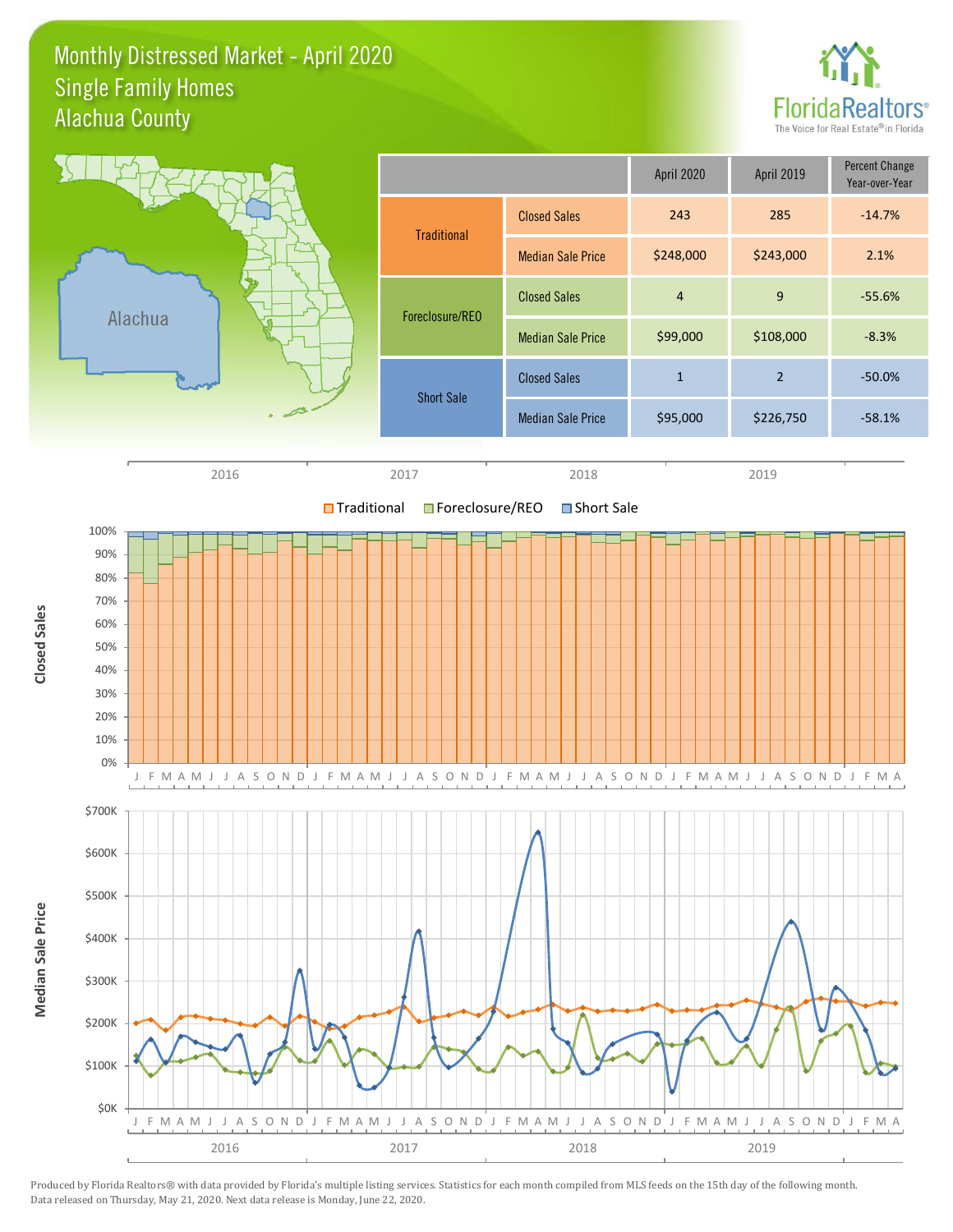## Monthly Distressed Market - April 2020 Alachua County Single Family Homes



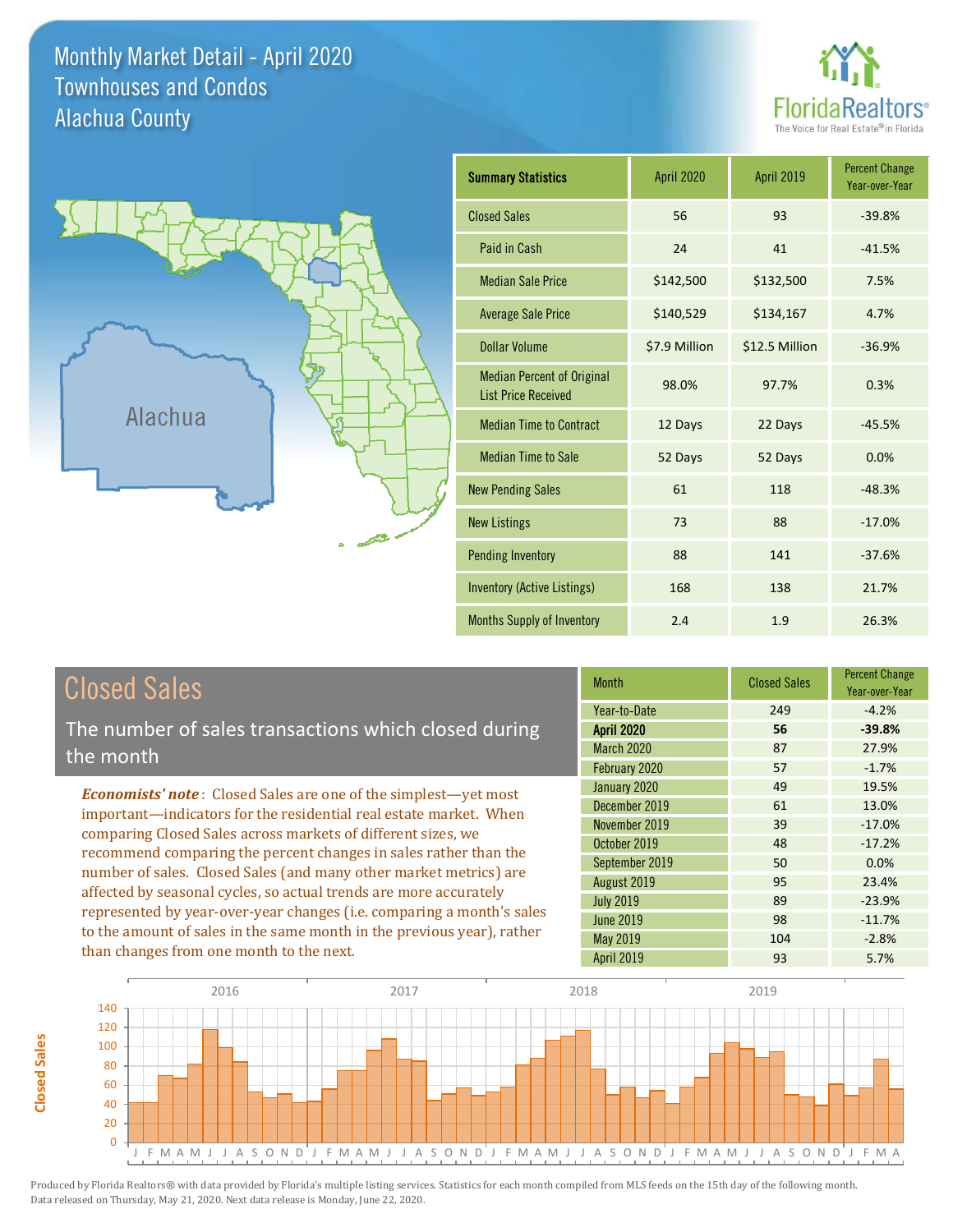Monthly Market Detail - April 2020 Alachua County Townhouses and Condos

**Closed Sales**

**Closed Sales** 





| <b>Summary Statistics</b>                                       | <b>April 2020</b> | April 2019     | <b>Percent Change</b><br>Year-over-Year |
|-----------------------------------------------------------------|-------------------|----------------|-----------------------------------------|
| <b>Closed Sales</b>                                             | 56                | 93             | $-39.8%$                                |
| Paid in Cash                                                    | 24                | 41             | $-41.5%$                                |
| <b>Median Sale Price</b>                                        | \$142,500         | \$132,500      | 7.5%                                    |
| <b>Average Sale Price</b>                                       | \$140,529         | \$134,167      | 4.7%                                    |
| <b>Dollar Volume</b>                                            | \$7.9 Million     | \$12.5 Million | $-36.9%$                                |
| <b>Median Percent of Original</b><br><b>List Price Received</b> | 98.0%             | 97.7%          | 0.3%                                    |
| <b>Median Time to Contract</b>                                  | 12 Days           | 22 Days        | $-45.5%$                                |
| <b>Median Time to Sale</b>                                      | 52 Days           | 52 Days        | 0.0%                                    |
| <b>New Pending Sales</b>                                        | 61                | 118            | $-48.3%$                                |
| <b>New Listings</b>                                             | 73                | 88             | $-17.0%$                                |
| <b>Pending Inventory</b>                                        | 88                | 141            | $-37.6%$                                |
| Inventory (Active Listings)                                     | 168               | 138            | 21.7%                                   |
| <b>Months Supply of Inventory</b>                               | 2.4               | 1.9            | 26.3%                                   |

| <b>Closed Sales</b>                                                                                                                                                                                                                                                                                                                                                                                                           | <b>Month</b>                                   | <b>Closed Sales</b> | <b>Percent Change</b><br>Year-over-Year |
|-------------------------------------------------------------------------------------------------------------------------------------------------------------------------------------------------------------------------------------------------------------------------------------------------------------------------------------------------------------------------------------------------------------------------------|------------------------------------------------|---------------------|-----------------------------------------|
| The number of sales transactions which closed during                                                                                                                                                                                                                                                                                                                                                                          | Year-to-Date<br><b>April 2020</b>              | 249<br>56           | $-4.2%$<br>$-39.8%$                     |
| the month                                                                                                                                                                                                                                                                                                                                                                                                                     | <b>March 2020</b><br>February 2020             | 87<br>57            | 27.9%<br>$-1.7%$                        |
| <b>Economists' note:</b> Closed Sales are one of the simplest—yet most<br>important—indicators for the residential real estate market. When                                                                                                                                                                                                                                                                                   | January 2020<br>December 2019<br>November 2019 | 49<br>61<br>39      | 19.5%<br>13.0%<br>$-17.0%$              |
| comparing Closed Sales across markets of different sizes, we<br>recommend comparing the percent changes in sales rather than the<br>number of sales. Closed Sales (and many other market metrics) are<br>affected by seasonal cycles, so actual trends are more accurately<br>represented by year-over-year changes (i.e. comparing a month's sales<br>to the amount of sales in the same month in the previous year), rather | October 2019<br>September 2019<br>August 2019  | 48<br>50<br>95      | $-17.2%$<br>0.0%<br>23.4%               |
|                                                                                                                                                                                                                                                                                                                                                                                                                               | <b>July 2019</b><br>June 2019<br>May 2019      | 89<br>98<br>104     | $-23.9%$<br>$-11.7%$<br>$-2.8%$         |
| than changes from one month to the next.                                                                                                                                                                                                                                                                                                                                                                                      | <b>April 2019</b>                              | 93                  | 5.7%                                    |

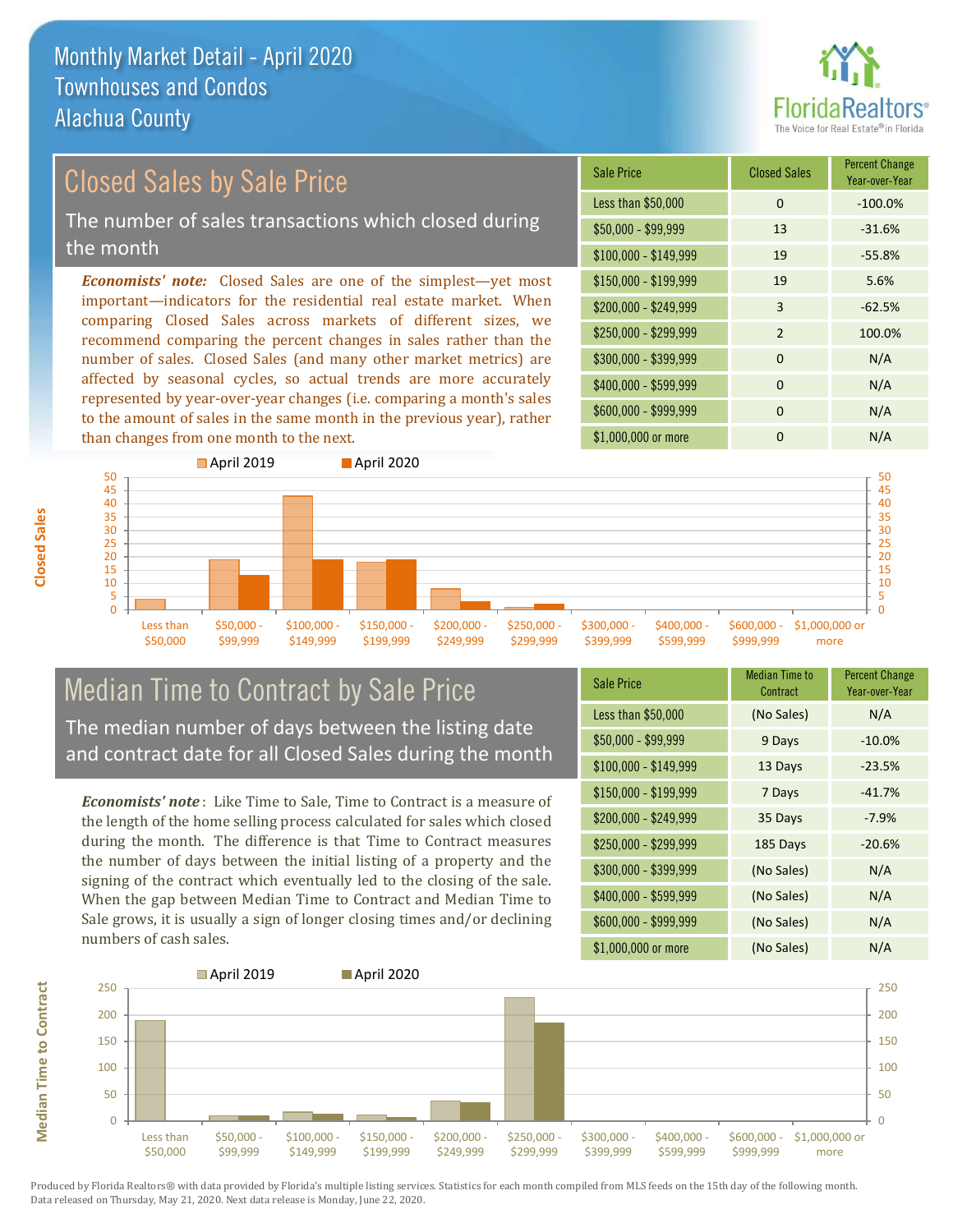

## Closed Sales by Sale Price

The number of sales transactions which closed during the month

*Economists' note:* Closed Sales are one of the simplest—yet most important—indicators for the residential real estate market. When comparing Closed Sales across markets of different sizes, we recommend comparing the percent changes in sales rather than the number of sales. Closed Sales (and many other market metrics) are affected by seasonal cycles, so actual trends are more accurately represented by year-over-year changes (i.e. comparing a month's sales to the amount of sales in the same month in the previous year), rather than changes from one month to the next.

| <b>Sale Price</b>     | <b>Closed Sales</b> | <b>Percent Change</b><br>Year-over-Year |
|-----------------------|---------------------|-----------------------------------------|
| Less than \$50,000    | $\Omega$            | $-100.0%$                               |
| $$50,000 - $99,999$   | 13                  | $-31.6%$                                |
| $$100,000 - $149,999$ | 19                  | $-55.8%$                                |
| $$150,000 - $199,999$ | 19                  | 5.6%                                    |
| \$200,000 - \$249,999 | 3                   | $-62.5%$                                |
| \$250,000 - \$299,999 | 2                   | 100.0%                                  |
| \$300,000 - \$399,999 | $\Omega$            | N/A                                     |
| \$400,000 - \$599,999 | $\Omega$            | N/A                                     |
| \$600,000 - \$999,999 | $\Omega$            | N/A                                     |
| \$1,000,000 or more   | ŋ                   | N/A                                     |



### Median Time to Contract by Sale Price The median number of days between the listing date and contract date for all Closed Sales during the month

*Economists' note* : Like Time to Sale, Time to Contract is a measure of the length of the home selling process calculated for sales which closed during the month. The difference is that Time to Contract measures the number of days between the initial listing of a property and the signing of the contract which eventually led to the closing of the sale. When the gap between Median Time to Contract and Median Time to Sale grows, it is usually a sign of longer closing times and/or declining numbers of cash sales.

| <b>Sale Price</b>     | <b>Median Time to</b><br>Contract | <b>Percent Change</b><br>Year-over-Year |
|-----------------------|-----------------------------------|-----------------------------------------|
| Less than \$50,000    | (No Sales)                        | N/A                                     |
| $$50,000 - $99,999$   | 9 Days                            | $-10.0%$                                |
| $$100,000 - $149,999$ | 13 Days                           | $-23.5%$                                |
| $$150,000 - $199,999$ | 7 Days                            | $-41.7%$                                |
| \$200,000 - \$249,999 | 35 Days                           | $-7.9%$                                 |
| \$250,000 - \$299,999 | 185 Days                          | $-20.6%$                                |
| \$300,000 - \$399,999 | (No Sales)                        | N/A                                     |
| \$400,000 - \$599,999 | (No Sales)                        | N/A                                     |
| \$600,000 - \$999,999 | (No Sales)                        | N/A                                     |
| \$1,000,000 or more   | (No Sales)                        | N/A                                     |



**Closed Sales**

**Median Time to Contract Median Time to Contract**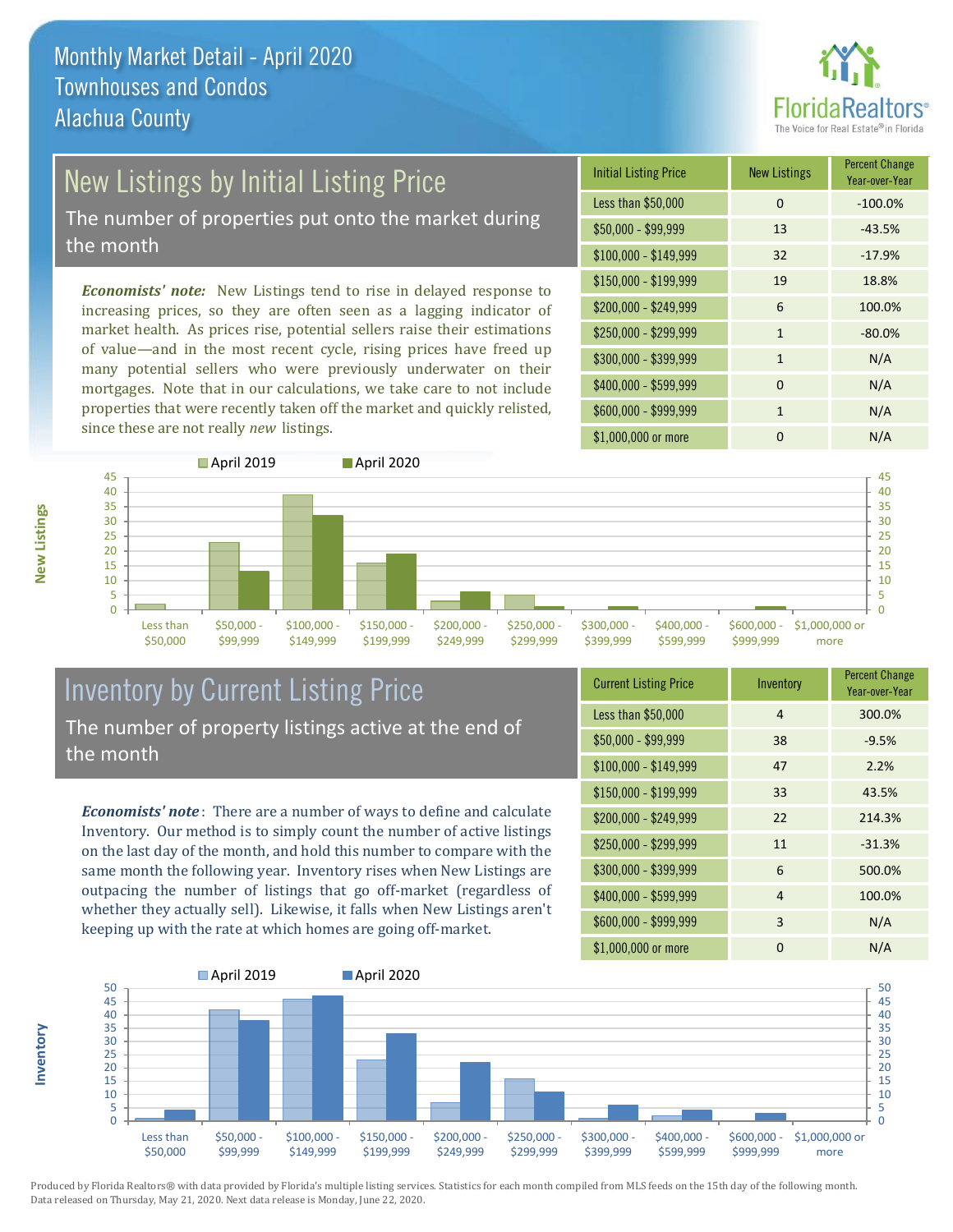

# New Listings by Initial Listing Price

The number of properties put onto the market during the month

*Economists' note:* New Listings tend to rise in delayed response to increasing prices, so they are often seen as a lagging indicator of market health. As prices rise, potential sellers raise their estimations of value—and in the most recent cycle, rising prices have freed up many potential sellers who were previously underwater on their mortgages. Note that in our calculations, we take care to not include properties that were recently taken off the market and quickly relisted, since these are not really *new* listings.

| <b>Initial Listing Price</b> | <b>New Listings</b> | <b>Percent Change</b><br>Year-over-Year |
|------------------------------|---------------------|-----------------------------------------|
| Less than \$50,000           | 0                   | $-100.0%$                               |
| \$50,000 - \$99,999          | 13                  | $-43.5%$                                |
| $$100,000 - $149,999$        | 32                  | $-17.9%$                                |
| $$150,000 - $199,999$        | 19                  | 18.8%                                   |
| \$200,000 - \$249,999        | 6                   | 100.0%                                  |
| \$250,000 - \$299,999        | 1                   | $-80.0%$                                |
| \$300,000 - \$399,999        | $\mathbf{1}$        | N/A                                     |
| \$400,000 - \$599,999        | 0                   | N/A                                     |
| \$600,000 - \$999,999        | 1                   | N/A                                     |
| \$1,000,000 or more          | 0                   | N/A                                     |



## Inventory by Current Listing Price The number of property listings active at the end of the month

*Economists' note* : There are a number of ways to define and calculate Inventory. Our method is to simply count the number of active listings on the last day of the month, and hold this number to compare with the same month the following year. Inventory rises when New Listings are outpacing the number of listings that go off-market (regardless of whether they actually sell). Likewise, it falls when New Listings aren't keeping up with the rate at which homes are going off-market.

| <b>Current Listing Price</b> | Inventory      | <b>Percent Change</b><br>Year-over-Year |
|------------------------------|----------------|-----------------------------------------|
| Less than \$50,000           | $\overline{4}$ | 300.0%                                  |
| $$50,000 - $99,999$          | 38             | $-9.5%$                                 |
| $$100,000 - $149,999$        | 47             | 2.2%                                    |
| $$150,000 - $199,999$        | 33             | 43.5%                                   |
| \$200,000 - \$249,999        | 22             | 214.3%                                  |
| \$250,000 - \$299,999        | 11             | $-31.3%$                                |
| \$300,000 - \$399,999        | 6              | 500.0%                                  |
| \$400,000 - \$599,999        | $\overline{4}$ | 100.0%                                  |
| \$600,000 - \$999,999        | 3              | N/A                                     |
| \$1,000,000 or more          | 0              | N/A                                     |



Produced by Florida Realtors® with data provided by Florida's multiple listing services. Statistics for each month compiled from MLS feeds on the 15th day of the following month. Data released on Thursday, May 21, 2020. Next data release is Monday, June 22, 2020.

**Inventory**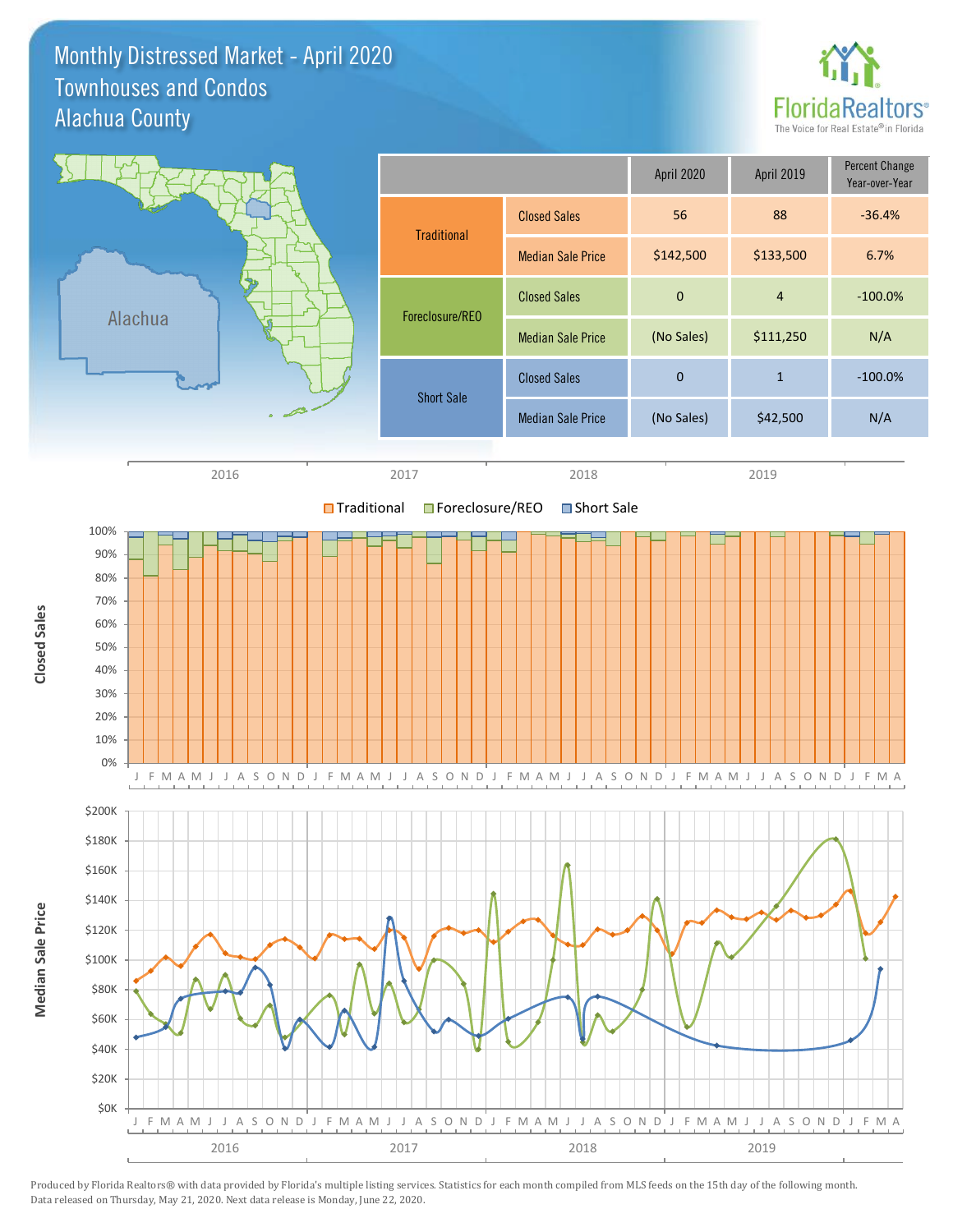Monthly Distressed Market - April 2020 Alachua County Townhouses and Condos



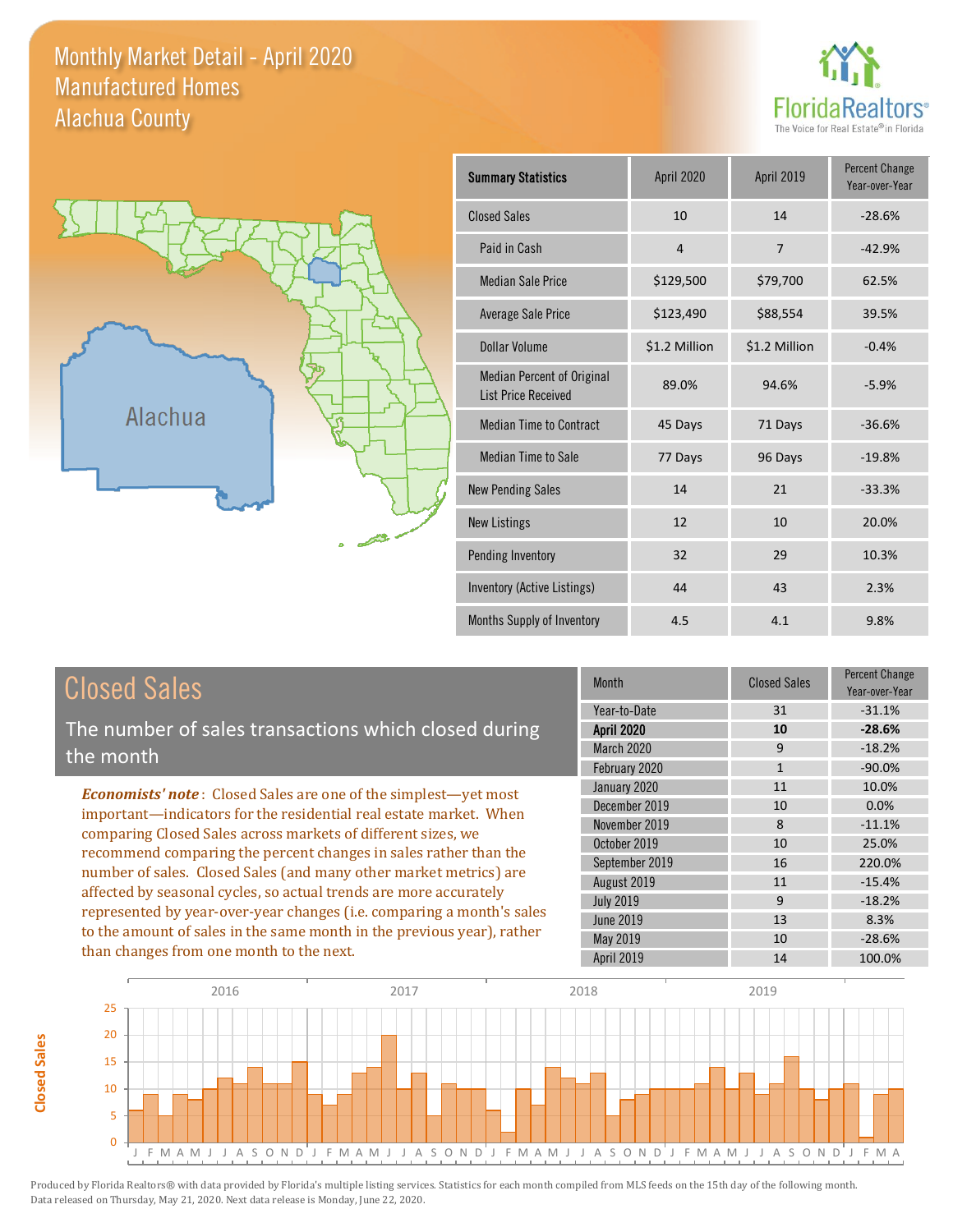#### Monthly Market Detail - April 2020 Alachua County Manufactured Homes





| <b>Summary Statistics</b>                                | April 2020     | April 2019     | <b>Percent Change</b><br>Year-over-Year |
|----------------------------------------------------------|----------------|----------------|-----------------------------------------|
| <b>Closed Sales</b>                                      | 10             | 14             | $-28.6%$                                |
| Paid in Cash                                             | $\overline{4}$ | $\overline{7}$ | $-42.9%$                                |
| <b>Median Sale Price</b>                                 | \$129,500      | \$79,700       | 62.5%                                   |
| <b>Average Sale Price</b>                                | \$123,490      | \$88,554       | 39.5%                                   |
| Dollar Volume                                            | \$1.2 Million  | \$1.2 Million  | $-0.4%$                                 |
| Median Percent of Original<br><b>List Price Received</b> | 89.0%          | 94.6%          | $-5.9%$                                 |
| <b>Median Time to Contract</b>                           | 45 Days        | 71 Days        | $-36.6%$                                |
| <b>Median Time to Sale</b>                               | 77 Days        | 96 Days        | $-19.8%$                                |
| <b>New Pending Sales</b>                                 | 14             | 21             | $-33.3%$                                |
| <b>New Listings</b>                                      | 12             | 10             | 20.0%                                   |
| Pending Inventory                                        | 32             | 29             | 10.3%                                   |
| Inventory (Active Listings)                              | 44             | 43             | 2.3%                                    |
| Months Supply of Inventory                               | 4.5            | 4.1            | 9.8%                                    |

# Closed Sales

The number of sales transactions which closed during the month

*Economists' note* : Closed Sales are one of the simplest—yet most important—indicators for the residential real estate market. When comparing Closed Sales across markets of different sizes, we recommend comparing the percent changes in sales rather than the number of sales. Closed Sales (and many other market metrics) are affected by seasonal cycles, so actual trends are more accurately represented by year-over-year changes (i.e. comparing a month's sales to the amount of sales in the same month in the previous year), rather than changes from one month to the next.

| <b>Month</b>      | <b>Closed Sales</b> | <b>Percent Change</b><br>Year-over-Year |
|-------------------|---------------------|-----------------------------------------|
| Year-to-Date      | 31                  | $-31.1%$                                |
| <b>April 2020</b> | 10                  | $-28.6%$                                |
| <b>March 2020</b> | 9                   | $-18.2%$                                |
| February 2020     | $\mathbf{1}$        | $-90.0%$                                |
| January 2020      | 11                  | 10.0%                                   |
| December 2019     | 10                  | 0.0%                                    |
| November 2019     | 8                   | $-11.1%$                                |
| October 2019      | 10                  | 25.0%                                   |
| September 2019    | 16                  | 220.0%                                  |
| August 2019       | 11                  | $-15.4%$                                |
| <b>July 2019</b>  | 9                   | $-18.2%$                                |
| <b>June 2019</b>  | 13                  | 8.3%                                    |
| May 2019          | 10                  | $-28.6%$                                |
| April 2019        | 14                  | 100.0%                                  |

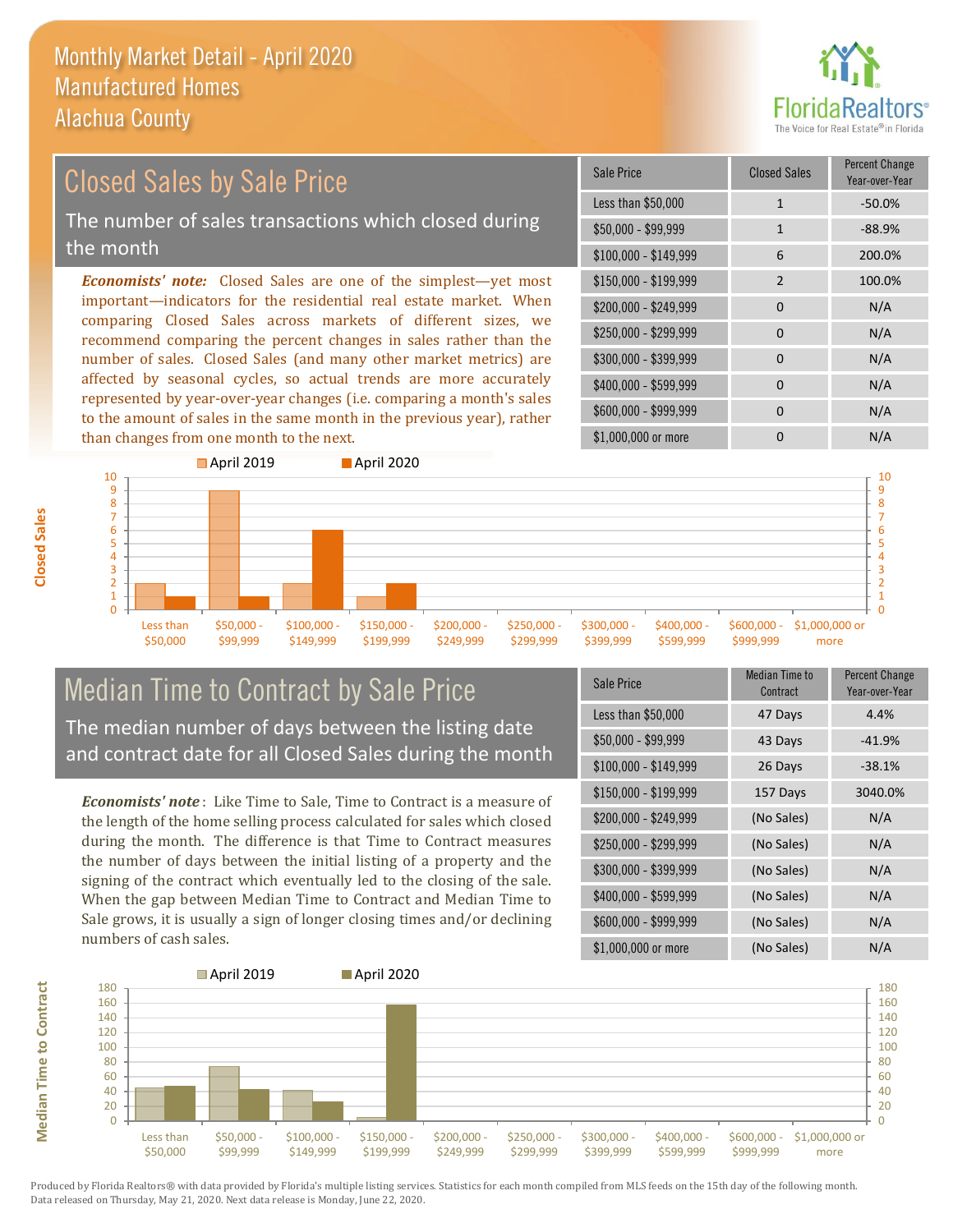

# Closed Sales by Sale Price

The number of sales transactions which closed during the month

*Economists' note:* Closed Sales are one of the simplest—yet most important—indicators for the residential real estate market. When comparing Closed Sales across markets of different sizes, we recommend comparing the percent changes in sales rather than the number of sales. Closed Sales (and many other market metrics) are affected by seasonal cycles, so actual trends are more accurately represented by year-over-year changes (i.e. comparing a month's sales to the amount of sales in the same month in the previous year), rather than changes from one month to the next.

| Sale Price            | <b>Closed Sales</b> | <b>Percent Change</b><br>Year-over-Year |
|-----------------------|---------------------|-----------------------------------------|
| Less than \$50,000    | $\mathbf{1}$        | $-50.0%$                                |
| \$50,000 - \$99,999   | $\mathbf{1}$        | $-88.9%$                                |
| $$100,000 - $149,999$ | 6                   | 200.0%                                  |
| $$150,000 - $199,999$ | $\overline{2}$      | 100.0%                                  |
| \$200,000 - \$249,999 | 0                   | N/A                                     |
| \$250,000 - \$299,999 | $\Omega$            | N/A                                     |
| \$300,000 - \$399,999 | $\Omega$            | N/A                                     |
| \$400,000 - \$599,999 | 0                   | N/A                                     |
| \$600,000 - \$999,999 | <sup>0</sup>        | N/A                                     |
| \$1,000,000 or more   | n                   | N/A                                     |



#### Median Time to Contract by Sale Price The median number of days between the listing date and contract date for all Closed Sales during the month

*Economists' note* : Like Time to Sale, Time to Contract is a measure of the length of the home selling process calculated for sales which closed during the month. The difference is that Time to Contract measures the number of days between the initial listing of a property and the signing of the contract which eventually led to the closing of the sale. When the gap between Median Time to Contract and Median Time to Sale grows, it is usually a sign of longer closing times and/or declining numbers of cash sales.

| Sale Price            | <b>Median Time to</b><br>Contract | <b>Percent Change</b><br>Year-over-Year |
|-----------------------|-----------------------------------|-----------------------------------------|
| Less than \$50,000    | 47 Days                           | 4.4%                                    |
| \$50,000 - \$99,999   | 43 Days                           | $-41.9%$                                |
| $$100,000 - $149,999$ | 26 Days                           | $-38.1%$                                |
| $$150,000 - $199,999$ | 157 Days                          | 3040.0%                                 |
| $$200,000 - $249,999$ | (No Sales)                        | N/A                                     |
| \$250,000 - \$299,999 | (No Sales)                        | N/A                                     |
| \$300,000 - \$399,999 | (No Sales)                        | N/A                                     |
| \$400,000 - \$599,999 | (No Sales)                        | N/A                                     |
| \$600,000 - \$999,999 | (No Sales)                        | N/A                                     |
| \$1,000,000 or more   | (No Sales)                        | N/A                                     |



**Median Time to Contract**

**Median Time to Contract**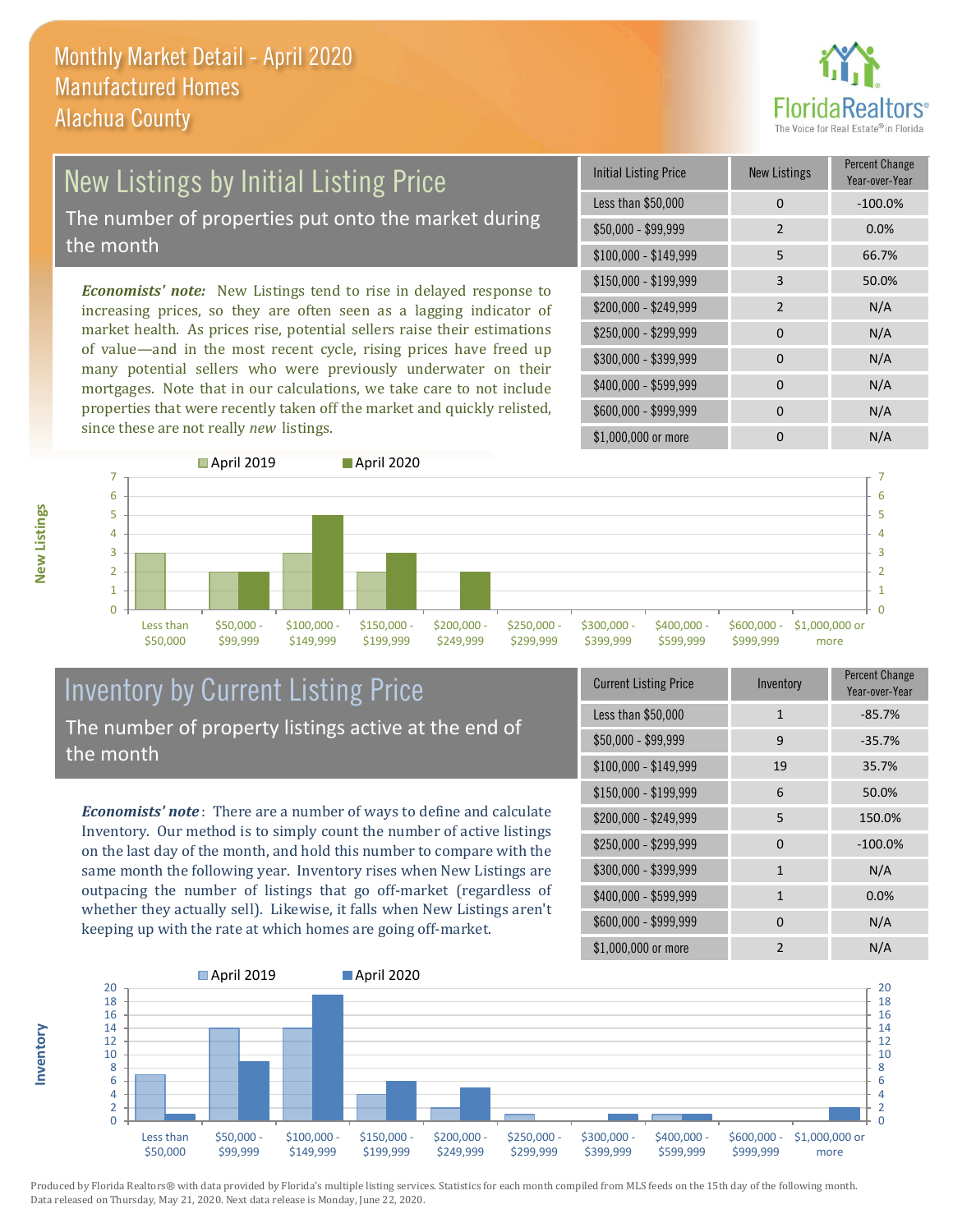

# New Listings by Initial Listing Price

The number of properties put onto the market during the month

*Economists' note:* New Listings tend to rise in delayed response to increasing prices, so they are often seen as a lagging indicator of market health. As prices rise, potential sellers raise their estimations of value—and in the most recent cycle, rising prices have freed up many potential sellers who were previously underwater on their mortgages. Note that in our calculations, we take care to not include properties that were recently taken off the market and quickly relisted, since these are not really *new* listings.

| <b>Initial Listing Price</b> | <b>New Listings</b> | <b>Percent Change</b><br>Year-over-Year |
|------------------------------|---------------------|-----------------------------------------|
| Less than \$50,000           | 0                   | $-100.0%$                               |
| \$50,000 - \$99,999          | $\overline{2}$      | 0.0%                                    |
| $$100,000 - $149,999$        | 5                   | 66.7%                                   |
| $$150,000 - $199,999$        | 3                   | 50.0%                                   |
| \$200,000 - \$249,999        | $\overline{2}$      | N/A                                     |
| \$250,000 - \$299,999        | $\Omega$            | N/A                                     |
| \$300,000 - \$399,999        | 0                   | N/A                                     |
| \$400,000 - \$599,999        | $\Omega$            | N/A                                     |
| \$600,000 - \$999,999        | $\Omega$            | N/A                                     |
| \$1,000,000 or more          | ი                   | N/A                                     |



### Inventory by Current Listing Price The number of property listings active at the end of the month

*Economists' note* : There are a number of ways to define and calculate Inventory. Our method is to simply count the number of active listings on the last day of the month, and hold this number to compare with the same month the following year. Inventory rises when New Listings are outpacing the number of listings that go off-market (regardless of whether they actually sell). Likewise, it falls when New Listings aren't keeping up with the rate at which homes are going off-market.

| <b>Current Listing Price</b> | Inventory      | Percent Change<br>Year-over-Year |
|------------------------------|----------------|----------------------------------|
| Less than \$50,000           | $\mathbf{1}$   | $-85.7%$                         |
| $$50,000 - $99,999$          | 9              | $-35.7%$                         |
| $$100,000 - $149,999$        | 19             | 35.7%                            |
| $$150,000 - $199,999$        | 6              | 50.0%                            |
| \$200,000 - \$249,999        | 5              | 150.0%                           |
| \$250,000 - \$299,999        | 0              | $-100.0%$                        |
| \$300,000 - \$399,999        | $\mathbf{1}$   | N/A                              |
| \$400,000 - \$599,999        | $\mathbf{1}$   | 0.0%                             |
| \$600,000 - \$999,999        | 0              | N/A                              |
| \$1,000,000 or more          | $\mathfrak{p}$ | N/A                              |